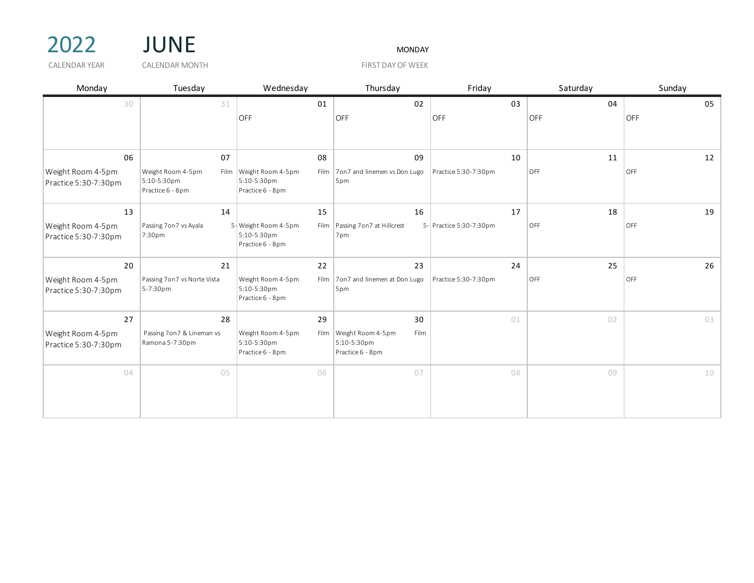



CALENDAR YEAR GALENDAR MONTH THE SERVICE OF THE STATE OF WEEK

| Monday                                    | Tuesday                                                      | Wednesday                                               | Thursday                                                          | Friday                  | Saturday | Sunday |
|-------------------------------------------|--------------------------------------------------------------|---------------------------------------------------------|-------------------------------------------------------------------|-------------------------|----------|--------|
| 30                                        | 31                                                           | 01                                                      | 02                                                                | 03                      | 04       | 05     |
|                                           |                                                              | <b>OFF</b>                                              | OFF                                                               | OFF                     | OFF      | OFF    |
| 06                                        | 07                                                           | 08                                                      | 09                                                                | 10                      | 11       | 12     |
| Weight Room 4-5pm<br>Practice 5:30-7:30pm | Weight Room 4-5pm<br>Film<br>5:10-5:30pm<br>Practice 6 - 8pm | Weight Room 4-5pm<br>5:10-5:30pm<br>Practice 6 - 8pm    | Film 7on7 and linemen vs Don Lugo<br>5pm                          | Practice 5:30-7:30pm    | OFF      | OFF    |
| 13                                        | 14                                                           | 15                                                      | 16                                                                | 17                      | 18       | 19     |
| Weight Room 4-5pm<br>Practice 5:30-7:30pm | Passing 7 on 7 vs Ayala<br>7:30pm                            | 5- Weight Room 4-5pm<br>5:10-5:30pm<br>Practice 6 - 8pm | Film   Passing 7 on 7 at Hillcrest<br>7pm                         | 5- Practice 5:30-7:30pm | OFF      | OFF    |
| 20                                        | 21                                                           | 22                                                      | 23                                                                | 24                      | 25       | 26     |
| Weight Room 4-5pm<br>Practice 5:30-7:30pm | Passing 7 on 7 vs Norte Vista<br>5-7:30pm                    | Weight Room 4-5pm<br>5:10-5:30pm<br>Practice 6 - 8pm    | Film   7 on 7 and linemen at Don Lugo<br>5 <sub>pm</sub>          | Practice 5:30-7:30pm    | OFF      | OFF    |
| 27                                        | 28                                                           | 29                                                      | 30                                                                | 01                      | 02       | 03     |
| Weight Room 4-5pm<br>Practice 5:30-7:30pm | Passing 7on7 & Lineman vs<br>Ramona 5-7:30pm                 | Weight Room 4-5pm<br>5:10-5:30pm<br>Practice 6 - 8pm    | Film Weight Room 4-5pm<br>Film<br>5:10-5:30pm<br>Practice 6 - 8pm |                         |          |        |
| 04                                        | 05                                                           | 06                                                      | 07                                                                | 08                      | 09       | 10     |